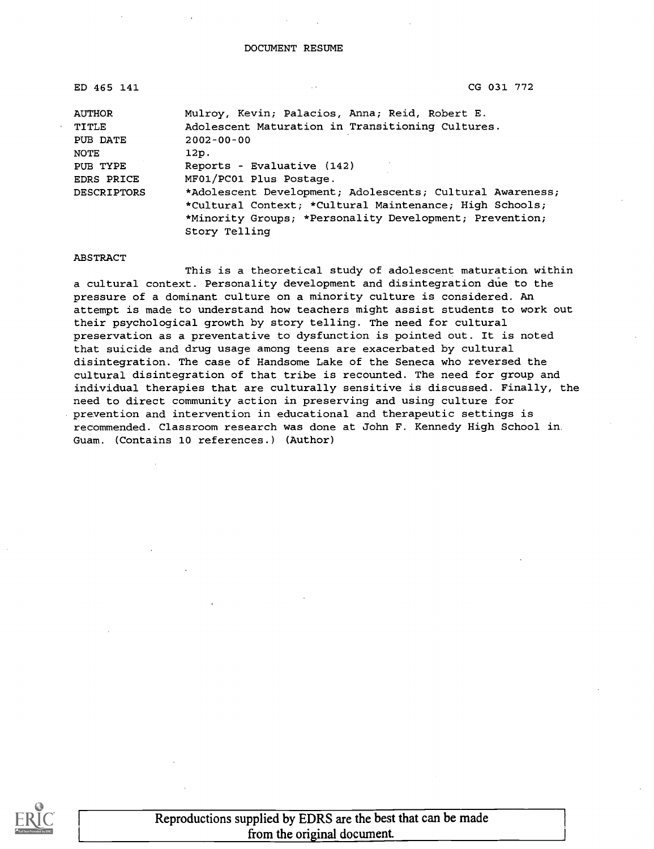ED 465 141 CG 031 772

| <b>AUTHOR</b>      | Mulroy, Kevin; Palacios, Anna; Reid, Robert E.            |
|--------------------|-----------------------------------------------------------|
| TITLE              | Adolescent Maturation in Transitioning Cultures.          |
| PUB DATE           | $2002 - 00 - 00$                                          |
| NOTE               | 12p.                                                      |
| PUB TYPE           | Reports - Evaluative (142)                                |
| EDRS PRICE         | MF01/PC01 Plus Postage.                                   |
| <b>DESCRIPTORS</b> | *Adolescent Development; Adolescents; Cultural Awareness; |
|                    | *Cultural Context; *Cultural Maintenance; High Schools;   |
|                    | *Minority Groups; *Personality Development; Prevention;   |
|                    | Story Telling                                             |

ABSTRACT

This is a theoretical study of adolescent maturation within a cultural context. Personality development and disintegration dde to the pressure of a dominant culture on a minority culture is considered. An attempt is made to understand how teachers might assist students to work out their psychological growth by story telling. The need for cultural preservation as a preventative to dysfunction is pointed out. It is noted that suicide and drug usage among teens are exacerbated by cultural disintegration. The case of Handsome Lake of the Seneca who reversed the cultural disintegration of that tribe is recounted. The need for group and individual therapies that are culturally sensitive is discussed. Finally, the need to direct community action in preserving and using culture for prevention and intervention in educational and therapeutic settings is recommended. Classroom research was done at John F. Kennedy High School in Guam. (Contains 10 references.) (Author)

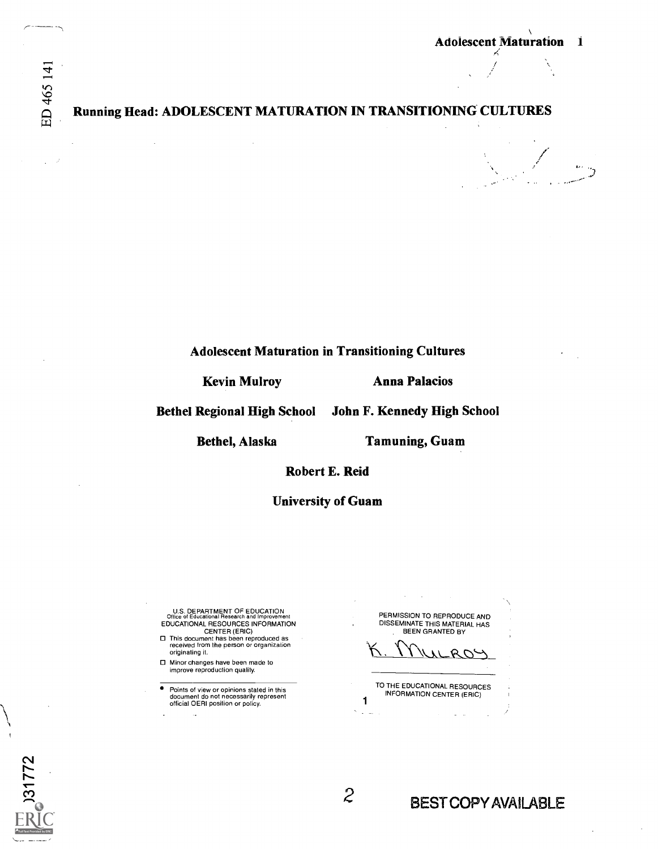#### Running Head: ADOLESCENT MATURATION IN TRANSITIONING CULTURES

### Adolescent Maturation in Transitioning Cultures

Kevin Mulroy

Anna Palacios

John F. Kennedy High School

Bethel Regional High School

Bethel, Alaska

Tamuning, Guam

Robert E. Reid

University of Guam

U.S. DEPARTMENT OF EDUCATION Office of Educational Research and Improvement EDUCATIONAL RESOURCES INFORMATION CENTER (ERIC)

O This document has been reproduced as received from the person or organization originating it.

O Minor changes have been made to improve reproduction quality.

Points of view or opinions stated in this document do not necessarily represent official OERI position or policy.

 $\mathcal{A}$ 

PERMISSION TO REPRODUCE AND DISSEMINATE THIS MATERIAL HAS

BEEN GRANTED BY

1 TO THE EDUCATIONAL RESOURCES INFORMATION CENTER (ERIC)



ED 465 141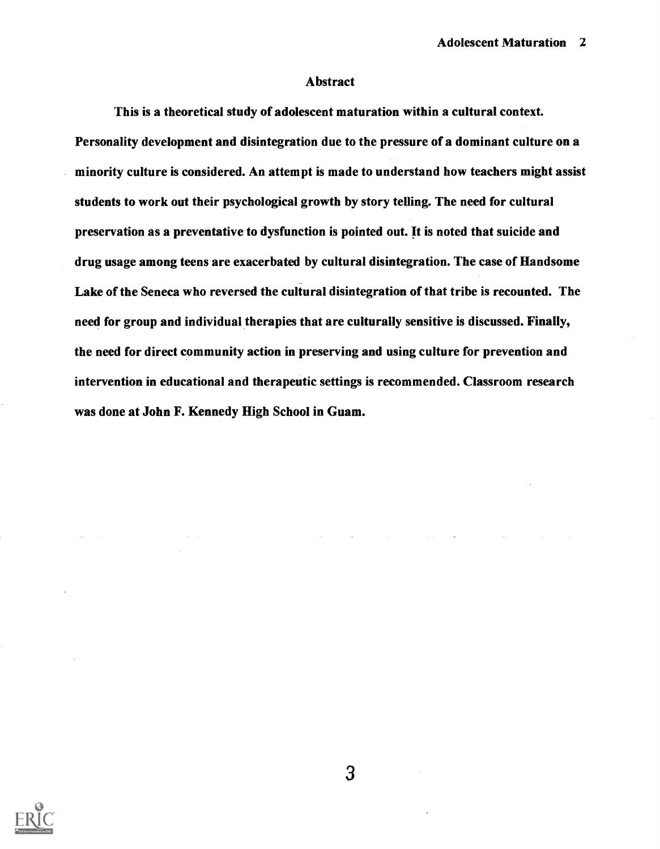#### Abstract

This is a theoretical study of adolescent maturation within a cultural context. Personality development and disintegration due to the pressure of a dominant culture on a minority culture is considered. An attempt is made to understand how teachers might assist students to work out their psychological growth by story telling. The need for cultural preservation as a preventative to dysfunction is pointed out. It is noted that suicide and drug usage among teens are exacerbated by cultural disintegration. The case of Handsome Lake of the Seneca who reversed the cultural disintegration of that tribe is recounted. The need for group and individual therapies that are culturally sensitive is discussed. Finally, the need for direct community action in preserving and using culture for prevention and intervention in educational and therapeutic settings is recommended. Classroom research was done at John F. Kennedy High School in Guam.

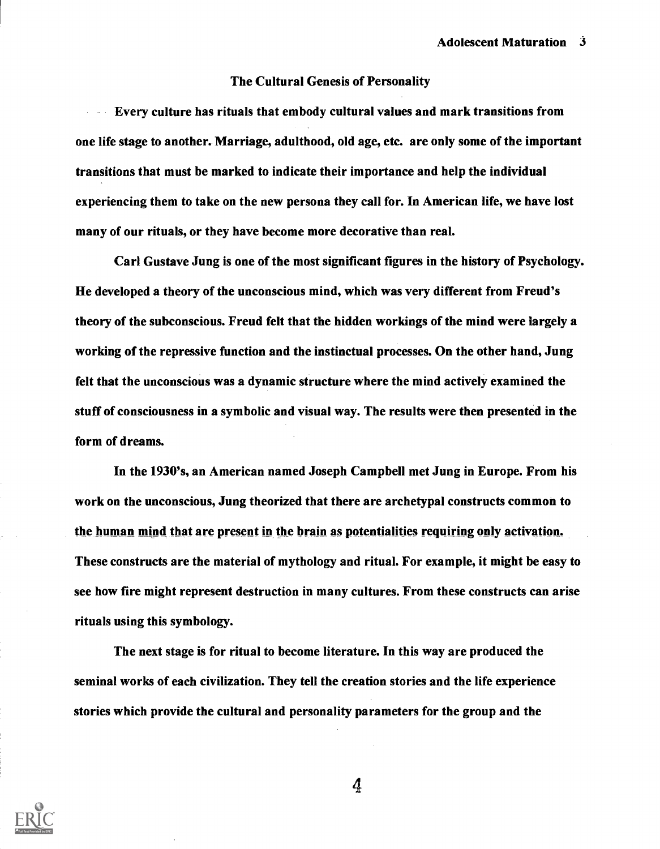#### The Cultural Genesis of Personality

Every culture has rituals that embody cultural values and mark transitions from one life stage to another. Marriage, adulthood, old age, etc. are only some of the important transitions that must be marked to indicate their importance and help the individual experiencing them to take on the new persona they call for. In American life, we have lost many of our rituals, or they have become more decorative than real.

Carl Gustave Jung is one of the most significant figures in the history of Psychology. He developed a theory of the unconscious mind, which was very different from Freud's theory of the subconscious. Freud felt that the hidden workings of the mind were largely a working of the repressive function and the instinctual processes. On the other hand, Jung felt that the unconscious was a dynamic structure where the mind actively examined the stuff of consciousness in a symbolic and visual way. The results were then presented in the form of dreams.

In the 1930's, an American named Joseph Campbell met Jung in Europe. From his work on the unconscious, Jung theorized that there are archetypal constructs common to the human mind that are present in the brain as potentialities requiring only activation. These constructs are the material of mythology and ritual. For example, it might be easy to see how fire might represent destruction in many cultures. From these constructs can arise rituals using this symbology.

The next stage is for ritual to become literature. In this way are produced the seminal works of each civilization. They tell the creation stories and the life experience stories which provide the cultural and personality parameters for the group and the

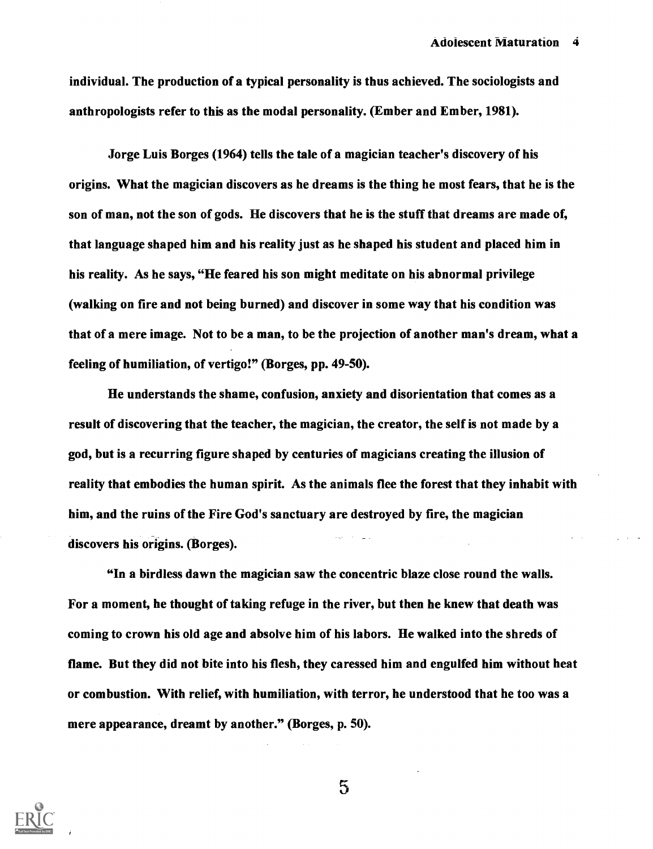individual. The production of a typical personality is thus achieved. The sociologists and anthropologists refer to this as the modal personality. (Ember and Ember, 1981).

Jorge Luis Borges (1964) tells the tale of a magician teacher's discovery of his origins. What the magician discovers as he dreams is the thing he most fears, that he is the son of man, not the son of gods. He discovers that he is the stuff that dreams are made of, that language shaped him and his reality just as he shaped his student and placed him in his reality. As he says, "He feared his son might meditate on his abnormal privilege (walking on fire and not being burned) and discover in some way that his condition was that of a mere image. Not to be a man, to be the projection of another man's dream, what a feeling of humiliation, of vertigo!" (Borges, pp. 49-50).

He understands the shame, confusion, anxiety and disorientation that comes as a result of discovering that the teacher, the magician, the creator, the self is not made by a god, but is a recurring figure shaped by centuries of magicians creating the illusion of reality that embodies the human spirit. As the animals flee the forest that they inhabit with him, and the ruins of the Fire God's sanctuary are destroyed by fire, the magician discovers his origins. (Borges).

"In a birdless dawn the magician saw the concentric blaze close round the walls. For a moment, he thought of taking refuge in the river, but then he knew that death was coming to crown his old age and absolve him of his labors. He walked into the shreds of flame. But they did not bite into his flesh, they caressed him and engulfed him without heat or combustion. With relief, with humiliation, with terror, he understood that he too was a mere appearance, dreamt by another." (Borges, p. 50).

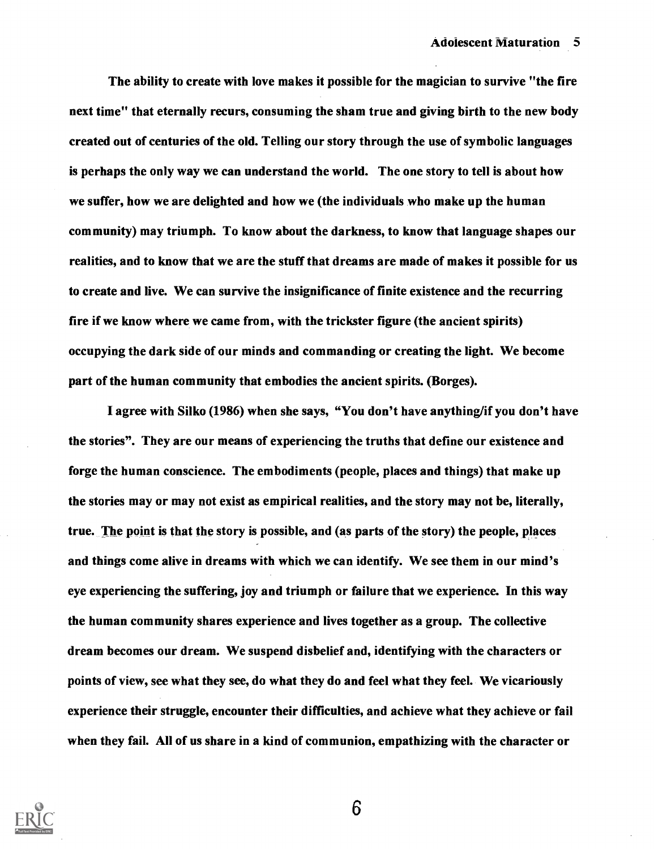The ability to create with love makes it possible for the magician to survive "the fire next time" that eternally recurs, consuming the sham true and giving birth to the new body created out of centuries of the old. Telling our story through the use of symbolic languages is perhaps the only way we can understand the world. The one story to tell is about how we suffer, how we are delighted and how we (the individuals who make up the human community) may triumph. To know about the darkness, to know that language shapes our realities, and to know that we are the stuff that dreams are made of makes it possible for us to create and live. We can survive the insignificance of finite existence and the recurring fire if we know where we came from, with the trickster figure (the ancient spirits) occupying the dark side of our minds and commanding or creating the light. We become part of the human community that embodies the ancient spirits. (Borges).

I agree with Silko (1986) when she says, "You don't have anything/if you don't have the stories". They are our means of experiencing the truths that define our existence and forge the human conscience. The embodiments (people, places and things) that make up the stories may or may not exist as empirical realities, and the story may not be, literally, true. The point is that the story is possible, and (as parts of the story) the people, places and things come alive in dreams with which we can identify. We see them in our mind's eye experiencing the suffering, joy and triumph or failure that we experience. In this way the human community shares experience and lives together as a group. The collective dream becomes our dream. We suspend disbelief and, identifying with the characters or points of view, see what they see, do what they do and feel what they feel. We vicariously experience their struggle, encounter their difficulties, and achieve what they achieve or fail when they fail. All of us share in a kind of communion, empathizing with the character or

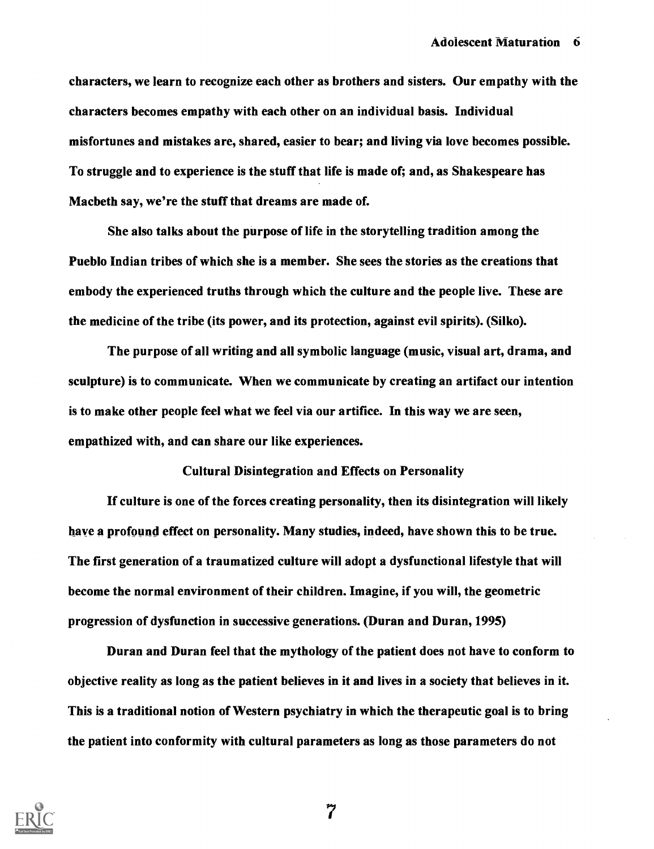characters, we learn to recognize each other as brothers and sisters. Our empathy with the characters becomes empathy with each other on an individual basis. Individual misfortunes and mistakes are, shared, easier to bear; and living via love becomes possible. To struggle and to experience is the stuff that life is made of; and, as Shakespeare has Macbeth say, we're the stuff that dreams are made of.

She also talks about the purpose of life in the storytelling tradition among the Pueblo Indian tribes of which she is a member. She sees the stories as the creations that embody the experienced truths through which the culture and the people live. These are the medicine of the tribe (its power, and its protection, against evil spirits). (Silko).

The purpose of all writing and all symbolic language (music, visual art, drama, and sculpture) is to communicate. When we communicate by creating an artifact our intention is to make other people feel what we feel via our artifice. In this way we are seen, empathized with, and can share our like experiences.

#### Cultural Disintegration and Effects on Personality

If culture is one of the forces creating personality, then its disintegration will likely have a profound effect on personality. Many studies, indeed, have shown this to be true. The first generation of a traumatized culture will adopt a dysfunctional lifestyle that will become the normal environment of their children. Imagine, if you will, the geometric progression of dysfunction in successive generations. (Duran and Duran, 1995)

Duran and Duran feel that the mythology of the patient does not have to conform to objective reality as long as the patient believes in it and lives in a society that believes in it. This is a traditional notion of Western psychiatry in which the therapeutic goal is to bring the patient into conformity with cultural parameters as long as those parameters do not

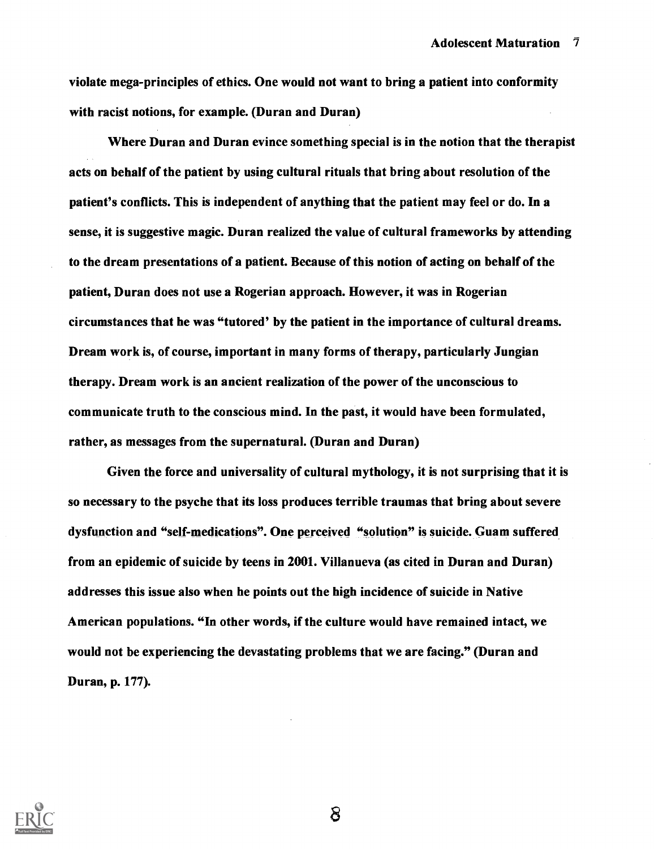violate mega-principles of ethics. One would not want to bring a patient into conformity with racist notions, for example. (Duran and Duran)

Where Duran and Duran evince something special is in the notion that the therapist acts on behalf of the patient by using cultural rituals that bring about resolution of the patient's conflicts. This is independent of anything that the patient may feel or do. In a sense, it is suggestive magic. Duran realized the value of cultural frameworks by attending to the dream presentations of a patient. Because of this notion of acting on behalf of the patient, Duran does not use a Rogerian approach. However, it was in Rogerian circumstances that he was "tutored' by the patient in the importance of cultural dreams. Dream work is, of course, important in many forms of therapy, particularly Jungian therapy. Dream work is an ancient realization of the power of the unconscious to communicate truth to the conscious mind. In the past, it would have been formulated, rather, as messages from the supernatural. (Duran and Duran)

Given the force and universality of cultural mythology, it is not surprising that it is so necessary to the psyche that its loss produces terrible traumas that bring about severe dysfunction and "self-medications". One perceived "solution" is suicide. Guam suffered from an epidemic of suicide by teens in 2001. Villanueva (as cited in Duran and Duran) addresses this issue also when he points out the high incidence of suicide in Native American populations. "In other words, if the culture would have remained intact, we would not be experiencing the devastating problems that we are facing." (Duran and Duran, p. 177).

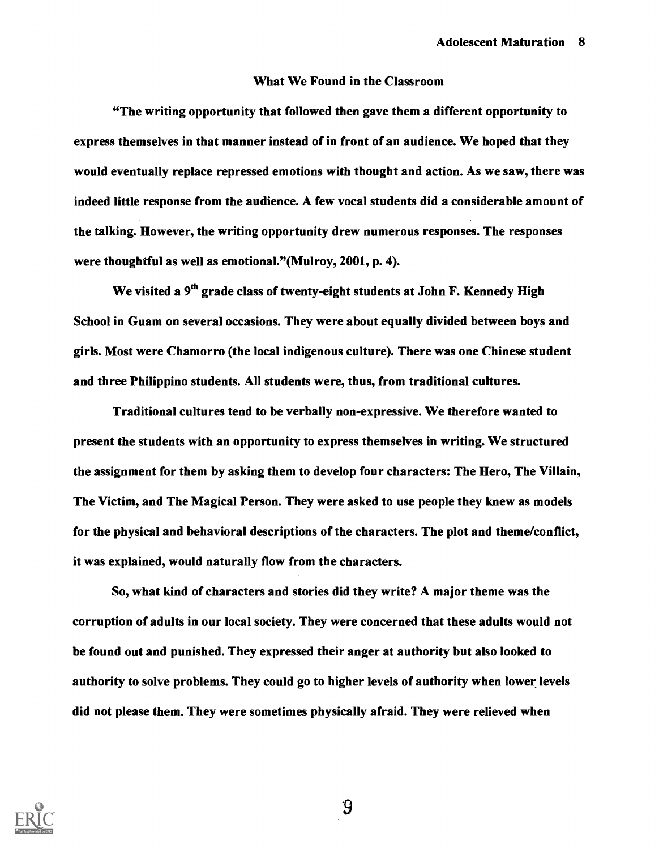#### What We Found in the Classroom

"The writing opportunity that followed then gave them a different opportunity to express themselves in that manner instead of in front of an audience. We hoped that they would eventually replace repressed emotions with thought and action. As we saw, there was indeed little response from the audience. A few vocal students did a considerable amount of the talking. However, the writing opportunity drew numerous responses. The responses were thoughtful as well as emotional."(Mulroy, 2001, p. 4).

We visited a 9<sup>th</sup> grade class of twenty-eight students at John F. Kennedy High School in Guam on several occasions. They were about equally divided between boys and girls. Most were Chamorro (the local indigenous culture). There was one Chinese student and three Philippino students. All students were, thus, from traditional cultures.

Traditional cultures tend to be verbally non-expressive. We therefore wanted to present the students with an opportunity to express themselves in writing. We structured the assignment for them by asking them to develop four characters: The Hero, The Villain, The Victim, and The Magical Person. They were asked to use people they knew as models for the physical and behavioral descriptions of the characters. The plot and theme/conflict, it was explained, would naturally flow from the characters.

So, what kind of characters and stories did they write? A major theme was the corruption of adults in our local society. They were concerned that these adults would not be found out and punished. They expressed their anger at authority but also looked to authority to solve problems. They could go to higher levels of authority when lower levels did not please them. They were sometimes physically afraid. They were relieved when

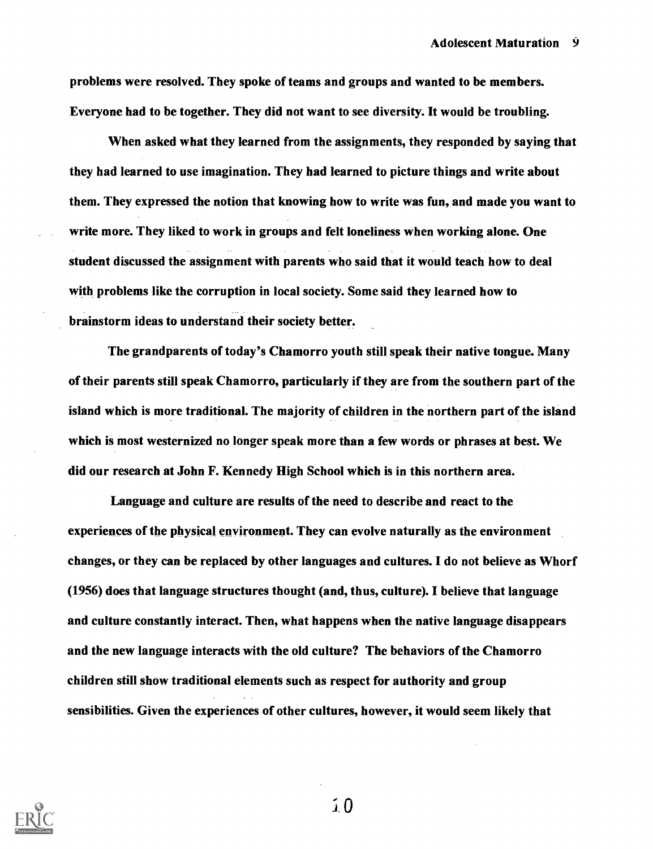problems were resolved. They spoke of teams and groups and wanted to be members. Everyone had to be together. They did not want to see diversity. It would be troubling.

When asked what they learned from the assignments, they responded by saying that they had learned to use imagination. They had learned to picture things and write about them. They expressed the notion that knowing how to write was fun, and made you want to write more. They liked to work in groups and felt loneliness when working alone. One student discussed the assignment with parents who said that it would teach how to deal with problems like the corruption in local society. Some said they learned how to brainstorm ideas to understand their society better.

The grandparents of today's Chamorro youth still speak their native tongue. Many of their parents still speak Chamorro, particularly if they are from the southern part of the island which is more traditional. The majority of children in the northern part of the island which is most westernized no longer speak more than a few words or phrases at best. We did our research at John F. Kennedy High School which is in this northern area.

Language and culture are results of the need to describe and react to the experiences of the physical environment. They can evolve naturally as the environment changes, or they can be replaced by other languages and cultures. I do not believe as Whorf (1956) does that language structures thought (and, thus, culture). I believe that language and culture constantly interact. Then, what happens when the native language disappears and the new language interacts with the old culture? The behaviors of the Chamorro children still show traditional elements such as respect for authority and group sensibilities. Given the experiences of other cultures, however, it would seem likely that

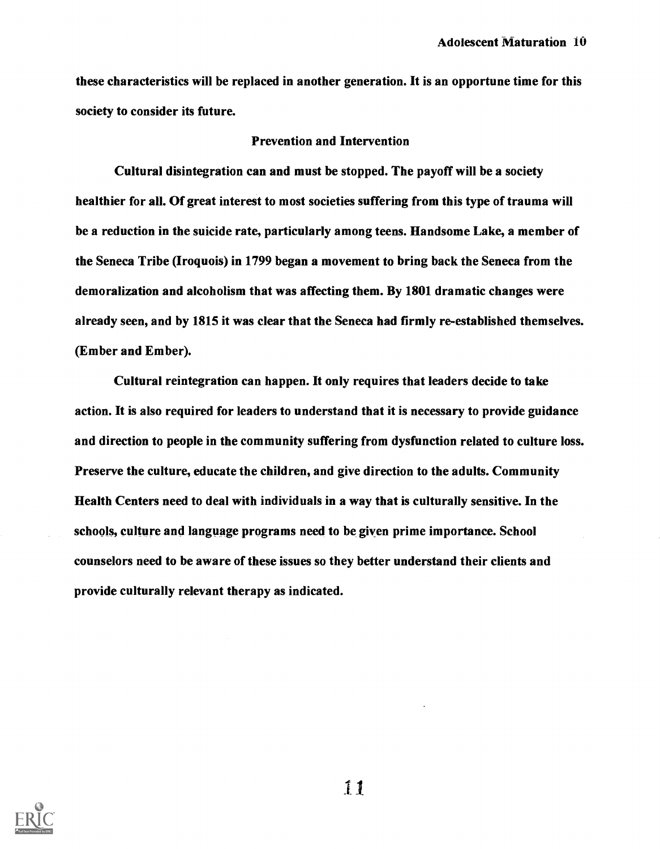these characteristics will be replaced in another generation. It is an opportune time for this society to consider its future.

#### Prevention and Intervention

Cultural disintegration can and must be stopped. The payoff will be a society healthier for all. Of great interest to most societies suffering from this type of trauma will be a reduction in the suicide rate, particularly among teens. Handsome Lake, a member of the Seneca Tribe (Iroquois) in 1799 began a movement to bring back the Seneca from the demoralization and alcoholism that was affecting them. By 1801 dramatic changes were already seen, and by 1815 it was clear that the Seneca had firmly re-established themselves. (Ember and Ember).

Cultural reintegration can happen. It only requires that leaders decide to take action. It is also required for leaders to understand that it is necessary to provide guidance and direction to people in the community suffering from dysfunction related to culture loss. Preserve the culture, educate the children, and give direction to the adults. Community Health Centers need to deal with individuals in a way that is culturally sensitive. In the schools, culture and language programs need to be given prime importance. School counselors need to be aware of these issues so they better understand their clients and provide culturally relevant therapy as indicated.



 $f<sub>1</sub>$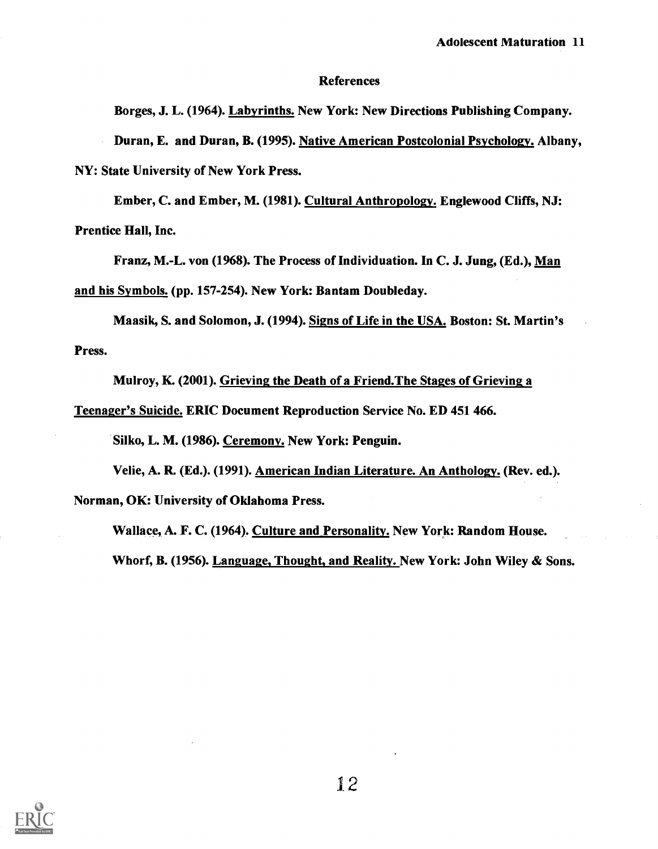#### **References**

Borges, J. L. (1964). Labyrinths. New York: New Directions Publishing Company.

Duran, E. and Duran, B. (1995). Native American Postcolonial Psychology. Albany, NY: State University of New York Press.

Ember, C. and Ember, m. (1981). Cultural Anthropology. Englewood Cliffs, NJ: Prentice Hall, Inc.

Franz, M.-L. von (1968). The Process of Individuation. In C. J. Jung, (Ed.), Man

and his Symbols. (pp. 157-254). New York: Bantam Doubleday.

Maasik, S. and Solomon, J. (1994). Signs of Life in the USA. Boston: St. Martin's Press.

Mulroy, K. (2001). Grieving the Death of a Friend.The Stages of Grieving a

Teenager's Suicide. ERIC Document Reproduction Service No. ED 451 466.

Silko, L. M. (1986). Ceremony. New York: Penguin.

Velie, A. R. (Ed.). (1991). American Indian Literature. An Anthology. (Rev. ed.). Norman, OK: University of Oklahoma Press.

Wallace, A. F. C. (1964). Culture and Personality. New York: Random House. Whorf, B. (1956). Language, Thought, and Reality. New York: John Wiley & Sons.

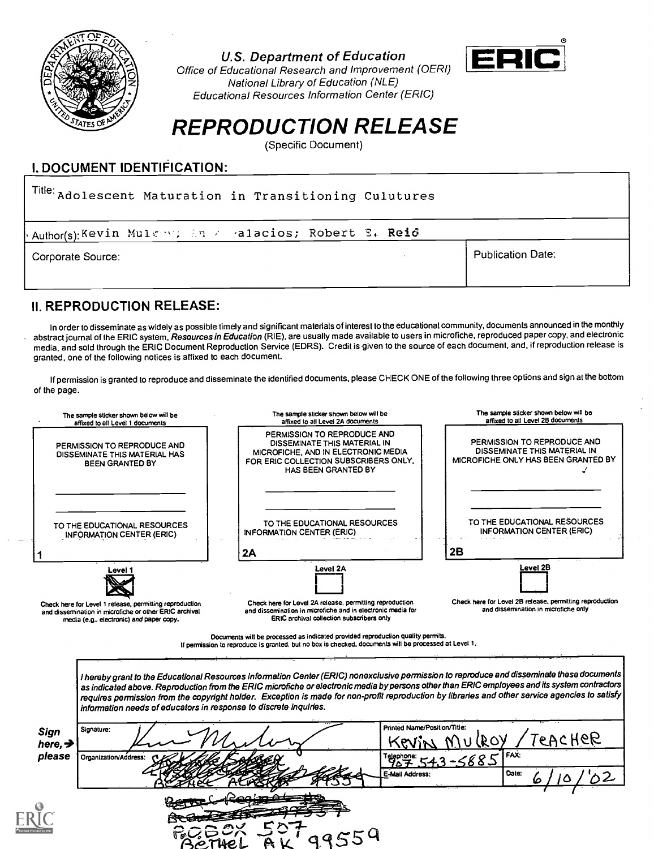

U.S. Department of Education



Office of Educational Research and Improvement (OERI) National Library of Education (NLE) Educational Resources Information Center (ERIC)

# REPRODUCTION RELEASE

(Specific Document)

I. DOCUMENT IDENTIFICATION:

| <sup>Title:</sup> Adolescent Maturation in Transitioning Culutures |                          |
|--------------------------------------------------------------------|--------------------------|
| Author(s):Kevin Mulcov; En a alacios; Robert E. Reid               |                          |
| Corporate Source:                                                  | <b>Publication Date:</b> |

## II. REPRODUCTION RELEASE:

In order to disseminate as widely as possible timely and significant materials of interest to the educational community, documents announced in the monthly abstract journal of the ERIC system, Resources in Education (RIE), are usually made available to users in microfiche, reproduced paper copy, and electronic media, and sold through the ERIC Document Reproduction Service (EDRS). Credit is given to the source of each document, and, if reproduction release is granted, one of the following notices is affixed to each document.

If permission is granted to reproduce and disseminate the identified documents, please CHECK ONE of the following three options and sign at the bottom of the page.

|                               | The sample sticker shown below will be<br>affixed to all Level 1 documents                                                                                               | The sample sticker shown below will be<br>affixed to all Level 2A documents                                                                                                                                                                                                                                                                                                                                                                                                    | The sample sticker shown below will be<br>affixed to all Level 2B documents                                  |
|-------------------------------|--------------------------------------------------------------------------------------------------------------------------------------------------------------------------|--------------------------------------------------------------------------------------------------------------------------------------------------------------------------------------------------------------------------------------------------------------------------------------------------------------------------------------------------------------------------------------------------------------------------------------------------------------------------------|--------------------------------------------------------------------------------------------------------------|
|                               | PERMISSION TO REPRODUCE AND<br>DISSEMINATE THIS MATERIAL HAS<br>BEEN GRANTED BY                                                                                          | PERMISSION TO REPRODUCE AND<br>DISSEMINATE THIS MATERIAL IN<br>MICROFICHE, AND IN ELECTRONIC MEDIA<br>FOR ERIC COLLECTION SUBSCRIBERS ONLY,<br><b>HAS BEEN GRANTED BY</b>                                                                                                                                                                                                                                                                                                      | PERMISSION TO REPRODUCE AND<br>DISSEMINATE THIS MATERIAL IN<br>MICROFICHE ONLY HAS BEEN GRANTED BY           |
|                               | TO THE EDUCATIONAL RESOURCES<br><b>INFORMATION CENTER (ERIC)</b>                                                                                                         | TO THE EDUCATIONAL RESOURCES<br><b>INFORMATION CENTER (ERIC)</b><br>2A                                                                                                                                                                                                                                                                                                                                                                                                         | TO THE EDUCATIONAL RESOURCES<br><b>INFORMATION CENTER (ERIC)</b><br>2B                                       |
|                               | Level 1<br>Check here for Level 1 release, permitting reproduction<br>and dissemination in microfiche or other ERIC archival<br>media (e.g., electronic) and paper copy. | Level 2A<br>Check here for Level 2A release, permitting reproduction<br>and dissemination in microfiche and in electronic media for<br>ERIC archival collection subscribers only<br>Documents will be processed as indicated provided reproduction quality permits.<br>If permission to reproduce is granted, but no box is checked, documents will be processed at Level 1.                                                                                                   | Level 2B<br>Check here for Level 2B release, permitting reproduction<br>and dissemination in microfiche only |
| Sian                          | information needs of educators in response to discrete inquiries.<br>Signature:                                                                                          | I hereby grant to the Educational Resources Information Center (ERIC) nonexclusive permission to reproduce and disseminate these documents<br>as indicated above. Reproduction from the ERIC microfiche or electronic media by persons other than ERIC employees and its system contractors<br>requires permission from the copyright holder. Exception is made for non-profit reproduction by libraries and other service agencies to satisfy<br>Printed Name/Position/Title: |                                                                                                              |
| here, $\rightarrow$<br>please | Organization/Address:                                                                                                                                                    | E-Mail Address:                                                                                                                                                                                                                                                                                                                                                                                                                                                                | TEACHER<br>(ROY<br>FAX:<br>Date:                                                                             |
|                               |                                                                                                                                                                          |                                                                                                                                                                                                                                                                                                                                                                                                                                                                                |                                                                                                              |